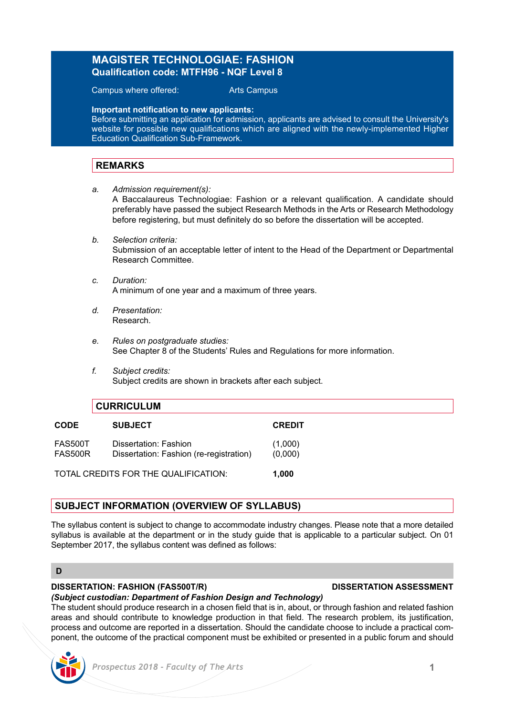# **MAGISTER TECHNOLOGIAE: FASHION Qualification code: MTFH96 - NQF Level 8**

Campus where offered: Arts Campus

**Important notification to new applicants:**

Before submitting an application for admission, applicants are advised to consult the University's website for possible new qualifications which are aligned with the newly-implemented Higher Education Qualification Sub-Framework.

## **REMARKS**

*a. Admission requirement(s):*

A Baccalaureus Technologiae: Fashion or a relevant qualification. A candidate should preferably have passed the subject Research Methods in the Arts or Research Methodology before registering, but must definitely do so before the dissertation will be accepted.

- *b. Selection criteria:* Submission of an acceptable letter of intent to the Head of the Department or Departmental Research Committee.
- *c. Duration:* A minimum of one year and a maximum of three years.
- *d. Presentation:* Research.
- *e. Rules on postgraduate studies:* See Chapter 8 of the Students' Rules and Regulations for more information.
- *f. Subject credits:* Subject credits are shown in brackets after each subject.

|                                      | <b>CURRICULUM</b>                                                |                    |
|--------------------------------------|------------------------------------------------------------------|--------------------|
| <b>CODE</b>                          | <b>SUBJECT</b>                                                   | <b>CREDIT</b>      |
| <b>FAS500T</b><br><b>FAS500R</b>     | Dissertation: Fashion<br>Dissertation: Fashion (re-registration) | (1,000)<br>(0,000) |
| TOTAL CREDITS FOR THE QUALIFICATION: |                                                                  | 1.000              |

## **SUBJECT INFORMATION (OVERVIEW OF SYLLABUS)**

The syllabus content is subject to change to accommodate industry changes. Please note that a more detailed syllabus is available at the department or in the study guide that is applicable to a particular subject. On 01 September 2017, the syllabus content was defined as follows:

### **D**

# **DISSERTATION: FASHION (FAS500T/R) DISSERTATION ASSESSMENT**

# *(Subject custodian: Department of Fashion Design and Technology)*

The student should produce research in a chosen field that is in, about, or through fashion and related fashion areas and should contribute to knowledge production in that field. The research problem, its justification, process and outcome are reported in a dissertation. Should the candidate choose to include a practical component, the outcome of the practical component must be exhibited or presented in a public forum and should